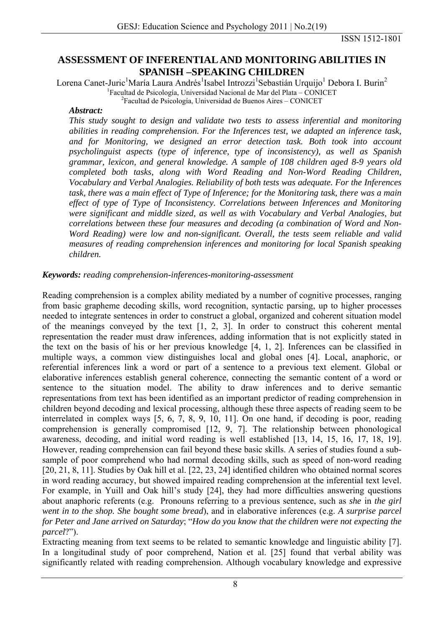ISSN 1512-1801

## **ASSESSMENT OF INFERENTIAL AND MONITORING ABILITIES IN SPANISH –SPEAKING CHILDREN**

Lorena Canet-Juric<sup>1</sup>María Laura Andrés<sup>1</sup>Isabel Introzzi<sup>1</sup>Sebastián Urquijo<sup>1</sup> Debora I. Burin<sup>2</sup> <sup>1</sup> Facultad de Psicología, Universidad Nacional de Mar del Plata – CONICET <sup>2</sup> Facultad de Psicología, Universidad de Puenes Aires – CONICET

 ${}^{2}$ Facultad de Psicología, Universidad de Buenos Aires – CONICET

#### *Abstract:*

*This study sought to design and validate two tests to assess inferential and monitoring abilities in reading comprehension. For the Inferences test, we adapted an inference task, and for Monitoring, we designed an error detection task. Both took into account psycholinguist aspects (type of inference, type of inconsistency), as well as Spanish grammar, lexicon, and general knowledge. A sample of 108 children aged 8-9 years old completed both tasks, along with Word Reading and Non-Word Reading Children, Vocabulary and Verbal Analogies. Reliability of both tests was adequate. For the Inferences task, there was a main effect of Type of Inference; for the Monitoring task, there was a main effect of type of Type of Inconsistency. Correlations between Inferences and Monitoring were significant and middle sized, as well as with Vocabulary and Verbal Analogies, but correlations between these four measures and decoding (a combination of Word and Non-Word Reading) were low and non-significant. Overall, the tests seem reliable and valid measures of reading comprehension inferences and monitoring for local Spanish speaking children.* 

## *Keywords: reading comprehension-inferences-monitoring-assessment*

Reading comprehension is a complex ability mediated by a number of cognitive processes, ranging from basic grapheme decoding skills, word recognition, syntactic parsing, up to higher processes needed to integrate sentences in order to construct a global, organized and coherent situation model of the meanings conveyed by the text [1, 2, 3]. In order to construct this coherent mental representation the reader must draw inferences, adding information that is not explicitly stated in the text on the basis of his or her previous knowledge [4, 1, 2]. Inferences can be classified in multiple ways, a common view distinguishes local and global ones [4]. Local, anaphoric, or referential inferences link a word or part of a sentence to a previous text element. Global or elaborative inferences establish general coherence, connecting the semantic content of a word or sentence to the situation model. The ability to draw inferences and to derive semantic representations from text has been identified as an important predictor of reading comprehension in children beyond decoding and lexical processing, although these three aspects of reading seem to be interrelated in complex ways [5, 6, 7, 8, 9, 10, 11]. On one hand, if decoding is poor, reading comprehension is generally compromised [12, 9, 7]. The relationship between phonological awareness, decoding, and initial word reading is well established [13, 14, 15, 16, 17, 18, 19]. However, reading comprehension can fail beyond these basic skills. A series of studies found a subsample of poor comprehend who had normal decoding skills, such as speed of non-word reading [20, 21, 8, 11]. Studies by Oak hill et al. [22, 23, 24] identified children who obtained normal scores in word reading accuracy, but showed impaired reading comprehension at the inferential text level. For example, in Yuill and Oak hill's study [24], they had more difficulties answering questions about anaphoric referents (e.g. Pronouns referring to a previous sentence, such as *she* in *the girl went in to the shop. She bought some bread*), and in elaborative inferences (e.g. *A surprise parcel for Peter and Jane arrived on Saturday*; "*How do you know that the children were not expecting the parcel*?").

Extracting meaning from text seems to be related to semantic knowledge and linguistic ability [7]. In a longitudinal study of poor comprehend, Nation et al. [25] found that verbal ability was significantly related with reading comprehension. Although vocabulary knowledge and expressive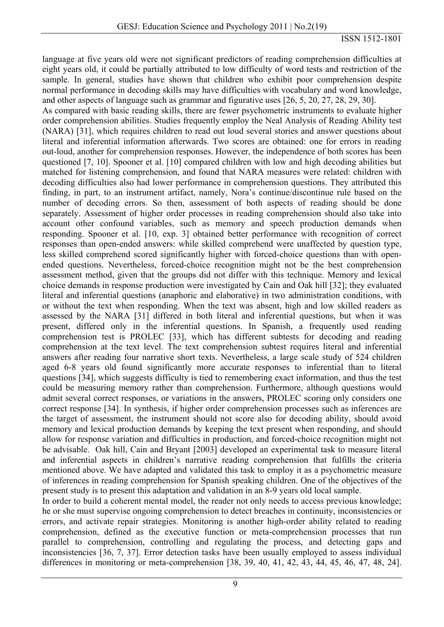language at five years old were not significant predictors of reading comprehension difficulties at eight years old, it could be partially attributed to low difficulty of word tests and restriction of the sample. In general, studies have shown that children who exhibit poor comprehension despite normal performance in decoding skills may have difficulties with vocabulary and word knowledge, and other aspects of language such as grammar and figurative uses [26, 5, 20, 27, 28, 29, 30].

As compared with basic reading skills, there are fewer psychometric instruments to evaluate higher order comprehension abilities. Studies frequently employ the Neal Analysis of Reading Ability test (NARA) [31], which requires children to read out loud several stories and answer questions about literal and inferential information afterwards. Two scores are obtained: one for errors in reading out-loud, another for comprehension responses. However, the independence of both scores has been questioned [7, 10]. Spooner et al. [10] compared children with low and high decoding abilities but matched for listening comprehension, and found that NARA measures were related: children with decoding difficulties also had lower performance in comprehension questions. They attributed this finding, in part, to an instrument artifact, namely, Nora's continue/discontinue rule based on the number of decoding errors. So then, assessment of both aspects of reading should be done separately. Assessment of higher order processes in reading comprehension should also take into account other confound variables, such as memory and speech production demands when responding. Spooner et al. [10, exp. 3] obtained better performance with recognition of correct responses than open-ended answers: while skilled comprehend were unaffected by question type, less skilled comprehend scored significantly higher with forced-choice questions than with openended questions. Nevertheless, forced-choice recognition might not be the best comprehension assessment method, given that the groups did not differ with this technique. Memory and lexical choice demands in response production were investigated by Cain and Oak hill [32]; they evaluated literal and inferential questions (anaphoric and elaborative) in two administration conditions, with or without the text when responding. When the text was absent, high and low skilled readers as assessed by the NARA [31] differed in both literal and inferential questions, but when it was present, differed only in the inferential questions. In Spanish, a frequently used reading comprehension test is PROLEC [33], which has different subtests for decoding and reading comprehension at the text level. The text comprehension subtest requires literal and inferential answers after reading four narrative short texts. Nevertheless, a large scale study of 524 children aged 6-8 years old found significantly more accurate responses to inferential than to literal questions [34], which suggests difficulty is tied to remembering exact information, and thus the test could be measuring memory rather than comprehension. Furthermore, although questions would admit several correct responses, or variations in the answers, PROLEC scoring only considers one correct response [34]. In synthesis, if higher order comprehension processes such as inferences are the target of assessment, the instrument should not score also for decoding ability, should avoid memory and lexical production demands by keeping the text present when responding, and should allow for response variation and difficulties in production, and forced-choice recognition might not be advisable. Oak hill, Cain and Bryant [2003] developed an experimental task to measure literal and inferential aspects in children's narrative reading comprehension that fulfills the criteria mentioned above. We have adapted and validated this task to employ it as a psychometric measure of inferences in reading comprehension for Spanish speaking children. One of the objectives of the present study is to present this adaptation and validation in an 8-9 years old local sample.

In order to build a coherent mental model, the reader not only needs to access previous knowledge; he or she must supervise ongoing comprehension to detect breaches in continuity, inconsistencies or errors, and activate repair strategies. Monitoring is another high-order ability related to reading comprehension, defined as the executive function or meta-comprehension processes that run parallel to comprehension, controlling and regulating the process, and detecting gaps and inconsistencies [36, 7, 37]. Error detection tasks have been usually employed to assess individual differences in monitoring or meta-comprehension [38, 39, 40, 41, 42, 43, 44, 45, 46, 47, 48, 24].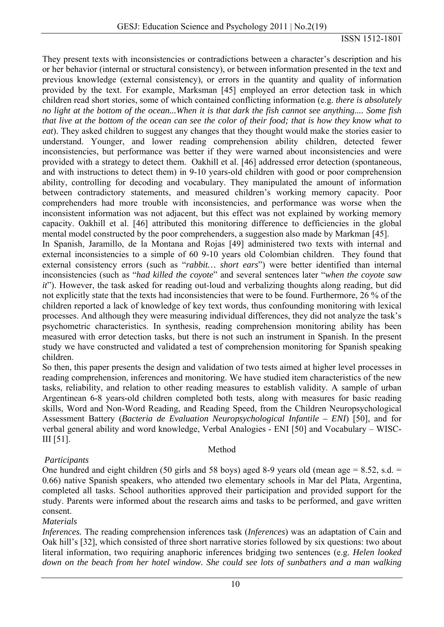They present texts with inconsistencies or contradictions between a character's description and his or her behavior (internal or structural consistency), or between information presented in the text and previous knowledge (external consistency), or errors in the quantity and quality of information provided by the text. For example, Marksman [45] employed an error detection task in which children read short stories, some of which contained conflicting information (e.g. *there is absolutely no light at the bottom of the ocean...When it is that dark the fish cannot see anything.... Some fish that live at the bottom of the ocean can see the color of their food; that is how they know what to eat*). They asked children to suggest any changes that they thought would make the stories easier to understand. Younger, and lower reading comprehension ability children, detected fewer inconsistencies, but performance was better if they were warned about inconsistencies and were provided with a strategy to detect them. Oakhill et al. [46] addressed error detection (spontaneous, and with instructions to detect them) in 9-10 years-old children with good or poor comprehension ability, controlling for decoding and vocabulary. They manipulated the amount of information between contradictory statements, and measured children's working memory capacity. Poor comprehenders had more trouble with inconsistencies, and performance was worse when the inconsistent information was not adjacent, but this effect was not explained by working memory capacity. Oakhill et al. [46] attributed this monitoring difference to defficiencies in the global mental model constructed by the poor comprehenders, a suggestion also made by Markman [45]. In Spanish, Jaramillo, de la Montana and Rojas [49] administered two texts with internal and external inconsistencies to a simple of 60 9-10 years old Colombian children. They found that external consistency errors (such as "*rabbit… short ears*") were better identified than internal inconsistencies (such as "*had killed the coyote*" and several sentences later "*when the coyote saw it*"). However, the task asked for reading out-loud and verbalizing thoughts along reading, but did not explicitly state that the texts had inconsistencies that were to be found. Furthermore, 26 % of the children reported a lack of knowledge of key text words, thus confounding monitoring with lexical processes. And although they were measuring individual differences, they did not analyze the task's psychometric characteristics. In synthesis, reading comprehension monitoring ability has been measured with error detection tasks, but there is not such an instrument in Spanish. In the present study we have constructed and validated a test of comprehension monitoring for Spanish speaking children.

So then, this paper presents the design and validation of two tests aimed at higher level processes in reading comprehension, inferences and monitoring. We have studied item characteristics of the new tasks, reliability, and relation to other reading measures to establish validity. A sample of urban Argentinean 6-8 years-old children completed both tests, along with measures for basic reading skills, Word and Non-Word Reading, and Reading Speed, from the Children Neuropsychological Assessment Battery (*Bacteria de Evaluation Neuropsychological Infantile – ENI*) [50], and for verbal general ability and word knowledge, Verbal Analogies - ENI [50] and Vocabulary – WISC-III [51].

# *Participants*

One hundred and eight children (50 girls and 58 boys) aged 8-9 years old (mean age  $= 8.52$ , s.d.  $=$ 0.66) native Spanish speakers, who attended two elementary schools in Mar del Plata, Argentina, completed all tasks. School authorities approved their participation and provided support for the study. Parents were informed about the research aims and tasks to be performed, and gave written consent.

Method

## *Materials*

*Inferences.* The reading comprehension inferences task (*Inferences*) was an adaptation of Cain and Oak hill's [32], which consisted of three short narrative stories followed by six questions: two about literal information, two requiring anaphoric inferences bridging two sentences (e.g. *Helen looked down on the beach from her hotel window. She could see lots of sunbathers and a man walking*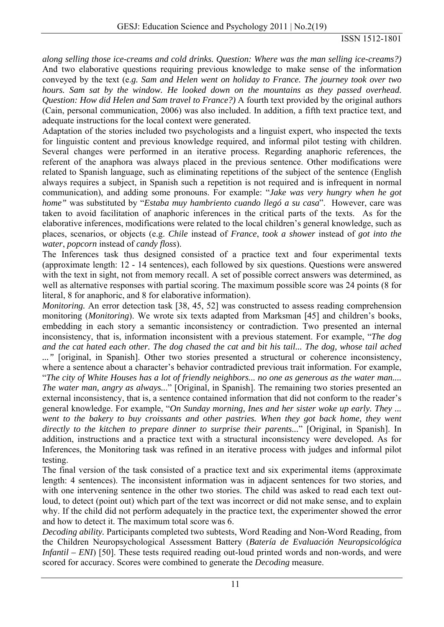*along selling those ice-creams and cold drinks. Question: Where was the man selling ice-creams?)*  And two elaborative questions requiring previous knowledge to make sense of the information conveyed by the text (e.*g. Sam and Helen went on holiday to France. The journey took over two hours. Sam sat by the window. He looked down on the mountains as they passed overhead. Question: How did Helen and Sam travel to France?)* A fourth text provided by the original authors (Cain, personal communication, 2006) was also included. In addition, a fifth text practice text, and adequate instructions for the local context were generated.

Adaptation of the stories included two psychologists and a linguist expert, who inspected the texts for linguistic content and previous knowledge required, and informal pilot testing with children. Several changes were performed in an iterative process. Regarding anaphoric references, the referent of the anaphora was always placed in the previous sentence. Other modifications were related to Spanish language, such as eliminating repetitions of the subject of the sentence (English always requires a subject, in Spanish such a repetition is not required and is infrequent in normal communication), and adding some pronouns. For example: "*Jake was very hungry when he got home"* was substituted by "*Estaba muy hambriento cuando llegó a su casa*". However, care was taken to avoid facilitation of anaphoric inferences in the critical parts of the texts. As for the elaborative inferences, modifications were related to the local children's general knowledge, such as places, scenarios, or objects (e.g. *Chile* instead of *France*, *took a shower* instead of *got into the water*, *popcorn* instead of *candy floss*).

The Inferences task thus designed consisted of a practice text and four experimental texts (approximate length: 12 - 14 sentences), each followed by six questions. Questions were answered with the text in sight, not from memory recall. A set of possible correct answers was determined, as well as alternative responses with partial scoring. The maximum possible score was 24 points (8 for literal, 8 for anaphoric, and 8 for elaborative information).

*Monitoring.* An error detection task [38, 45, 52] was constructed to assess reading comprehension monitoring (*Monitoring*). We wrote six texts adapted from Marksman [45] and children's books, embedding in each story a semantic inconsistency or contradiction. Two presented an internal inconsistency, that is, information inconsistent with a previous statement. For example, "*The dog and the cat hated each other. The dog chased the cat and bit his tail... The dog, whose tail ached ..."* [original, in Spanish]. Other two stories presented a structural or coherence inconsistency, where a sentence about a character's behavior contradicted previous trait information. For example, "*The city of White Houses has a lot of friendly neighbors... no one as generous as the water man.... The water man, angry as always..*." [Original, in Spanish]. The remaining two stories presented an external inconsistency, that is, a sentence contained information that did not conform to the reader's general knowledge. For example, "*On Sunday morning, Ines and her sister woke up early. They ... went to the bakery to buy croissants and other pastries. When they got back home, they went directly to the kitchen to prepare dinner to surprise their parents...*" [Original, in Spanish]. In addition, instructions and a practice text with a structural inconsistency were developed. As for Inferences, the Monitoring task was refined in an iterative process with judges and informal pilot testing.

The final version of the task consisted of a practice text and six experimental items (approximate length: 4 sentences). The inconsistent information was in adjacent sentences for two stories, and with one intervening sentence in the other two stories. The child was asked to read each text outloud, to detect (point out) which part of the text was incorrect or did not make sense, and to explain why. If the child did not perform adequately in the practice text, the experimenter showed the error and how to detect it. The maximum total score was 6.

*Decoding ability.* Participants completed two subtests, Word Reading and Non-Word Reading, from the Children Neuropsychological Assessment Battery (*Batería de Evaluación Neuropsicológica Infantil – ENI*) [50]. These tests required reading out-loud printed words and non-words, and were scored for accuracy. Scores were combined to generate the *Decoding* measure.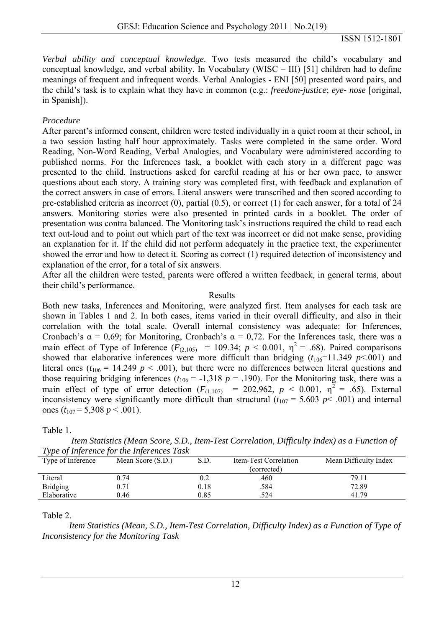*Verbal ability and conceptual knowledge*. Two tests measured the child's vocabulary and conceptual knowledge, and verbal ability. In Vocabulary (WISC – III) [51] children had to define meanings of frequent and infrequent words. Verbal Analogies - ENI [50] presented word pairs, and the child's task is to explain what they have in common (e.g.: *freedom-justice*; *eye- nose* [original, in Spanish]).

## *Procedure*

After parent's informed consent, children were tested individually in a quiet room at their school, in a two session lasting half hour approximately. Tasks were completed in the same order. Word Reading, Non-Word Reading, Verbal Analogies, and Vocabulary were administered according to published norms. For the Inferences task, a booklet with each story in a different page was presented to the child. Instructions asked for careful reading at his or her own pace, to answer questions about each story. A training story was completed first, with feedback and explanation of the correct answers in case of errors. Literal answers were transcribed and then scored according to pre-established criteria as incorrect (0), partial (0.5), or correct (1) for each answer, for a total of 24 answers. Monitoring stories were also presented in printed cards in a booklet. The order of presentation was contra balanced. The Monitoring task's instructions required the child to read each text out-loud and to point out which part of the text was incorrect or did not make sense, providing an explanation for it. If the child did not perform adequately in the practice text, the experimenter showed the error and how to detect it. Scoring as correct (1) required detection of inconsistency and explanation of the error, for a total of six answers.

After all the children were tested, parents were offered a written feedback, in general terms, about their child's performance.

#### Results

Both new tasks, Inferences and Monitoring, were analyzed first. Item analyses for each task are shown in Tables 1 and 2. In both cases, items varied in their overall difficulty, and also in their correlation with the total scale. Overall internal consistency was adequate: for Inferences, Cronbach's  $\alpha = 0.69$ ; for Monitoring, Cronbach's  $\alpha = 0.72$ . For the Inferences task, there was a main effect of Type of Inference  $(F_{(2,105)} = 109.34; p < 0.001, \eta^2 = .68)$ . Paired comparisons showed that elaborative inferences were more difficult than bridging  $(t_{106}=11.349 \text{ p} < 0.001)$  and literal ones ( $t_{106}$  = 14.249  $p < .001$ ), but there were no differences between literal questions and those requiring bridging inferences  $(t_{106} = -1,318 \, p = .190)$ . For the Monitoring task, there was a main effect of type of error detection  $(F_{(1,107)}$  = 202,962,  $p < 0.001$ ,  $\eta^2 = .65$ ). External inconsistency were significantly more difficult than structural  $(t_{107} = 5.603 \text{ p} < .001)$  and internal ones ( $t_{107}$  = 5,308 *p* < .001).

Table 1.

|                   | Type of Inference for the Inferences Task |      |                       |                       |
|-------------------|-------------------------------------------|------|-----------------------|-----------------------|
| Type of Inference | Mean Score (S.D.)                         | S.D. | Item-Test Correlation | Mean Difficulty Index |
|                   |                                           |      | (corrected)           |                       |
| Literal           | 0.74                                      | 0.2  | .460                  | 79.11                 |
| <b>Bridging</b>   | 0.71                                      | 0.18 | .584                  | 72.89                 |
| Elaborative       | 0.46                                      | 0.85 | .524                  | 41 79                 |

 *Item Statistics (Mean Score, S.D., Item-Test Correlation, Difficulty Index) as a Function of Type of Inference for the Inferences Task* 

## Table 2.

 *Item Statistics (Mean, S.D., Item-Test Correlation, Difficulty Index) as a Function of Type of Inconsistency for the Monitoring Task*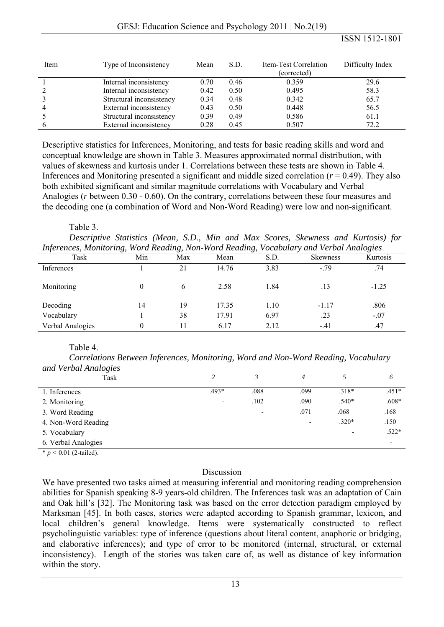| Item           | Type of Inconsistency    | Mean | S.D. | Item-Test Correlation<br>(corrected) | Difficulty Index |
|----------------|--------------------------|------|------|--------------------------------------|------------------|
|                | Internal inconsistency   | 0.70 | 0.46 | 0.359                                | 29.6             |
| 2              | Internal inconsistency   | 0.42 | 0.50 | 0.495                                | 58.3             |
| 3              |                          | 0.34 |      |                                      | 65.7             |
|                | Structural inconsistency |      | 0.48 | 0.342                                |                  |
| $\overline{4}$ | External inconsistency   | 0.43 | 0.50 | 0.448                                | 56.5             |
|                | Structural inconsistency | 0.39 | 0.49 | 0.586                                | 61.1             |
| 6              | External inconsistency   | 0.28 | 0.45 | 0.507                                | 72.2             |

Descriptive statistics for Inferences, Monitoring, and tests for basic reading skills and word and conceptual knowledge are shown in Table 3. Measures approximated normal distribution, with values of skewness and kurtosis under 1. Correlations between these tests are shown in Table 4. Inferences and Monitoring presented a significant and middle sized correlation (*r* = 0.49). They also both exhibited significant and similar magnitude correlations with Vocabulary and Verbal Analogies (*r* between 0.30 - 0.60). On the contrary, correlations between these four measures and the decoding one (a combination of Word and Non-Word Reading) were low and non-significant.

#### Table 3.

 *Descriptive Statistics (Mean, S.D., Min and Max Scores, Skewness and Kurtosis) for Inferences, Monitoring, Word Reading, Non-Word Reading, Vocabulary and Verbal Analogies* 

| Task             | Min | Max | Mean  | S.D. | <b>Skewness</b> | Kurtosis |
|------------------|-----|-----|-------|------|-----------------|----------|
| Inferences       |     | 21  | 14.76 | 3.83 | $-79$           | .74      |
| Monitoring       |     | 6   | 2.58  | 1.84 | .13             | $-1.25$  |
| Decoding         | 14  | 19  | 17.35 | 1.10 | $-1.17$         | .806     |
| Vocabulary       |     | 38  | 17.91 | 6.97 | .23             | $-.07$   |
| Verbal Analogies |     |     | 6.17  | 2.12 | $-41$           | .47      |

## Table 4.

 *Correlations Between Inferences, Monitoring, Word and Non-Word Reading, Vocabulary and Verbal Analogies*

| $\cdot$                                          |                          |                          |                          |         |         |
|--------------------------------------------------|--------------------------|--------------------------|--------------------------|---------|---------|
| Task                                             |                          |                          |                          |         | O       |
| 1. Inferences                                    | $.493*$                  | .088                     | .099                     | $.318*$ | $.451*$ |
| 2. Monitoring                                    | $\overline{\phantom{0}}$ | .102                     | .090                     | $.540*$ | $.608*$ |
| 3. Word Reading                                  |                          | $\overline{\phantom{0}}$ | .071                     | .068    | .168    |
| 4. Non-Word Reading                              |                          |                          | $\overline{\phantom{0}}$ | $.320*$ | .150    |
| 5. Vocabulary                                    |                          |                          |                          |         | $.522*$ |
| 6. Verbal Analogies                              |                          |                          |                          |         |         |
| $\sim$ $\sim$ $\sim$ $\sim$ $\sim$ $\sim$ $\sim$ |                          |                          |                          |         |         |

\* *p <* 0.01 (2-tailed).

## Discussion

We have presented two tasks aimed at measuring inferential and monitoring reading comprehension abilities for Spanish speaking 8-9 years-old children. The Inferences task was an adaptation of Cain and Oak hill's [32]. The Monitoring task was based on the error detection paradigm employed by Marksman [45]. In both cases, stories were adapted according to Spanish grammar, lexicon, and local children's general knowledge. Items were systematically constructed to reflect psycholinguistic variables: type of inference (questions about literal content, anaphoric or bridging, and elaborative inferences); and type of error to be monitored (internal, structural, or external inconsistency). Length of the stories was taken care of, as well as distance of key information within the story.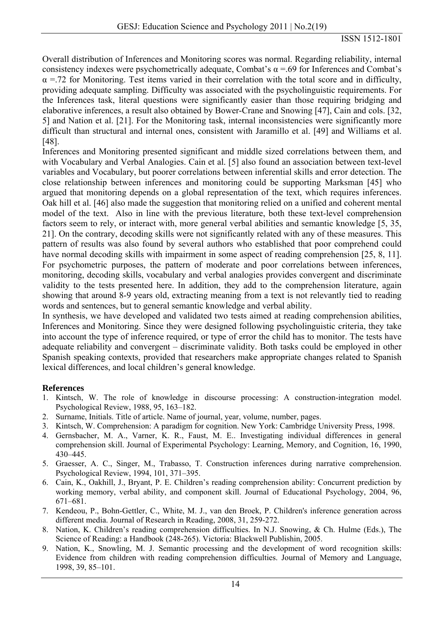Overall distribution of Inferences and Monitoring scores was normal. Regarding reliability, internal consistency indexes were psychometrically adequate, Combat's  $\alpha$  =.69 for Inferences and Combat's  $\alpha$  =.72 for Monitoring. Test items varied in their correlation with the total score and in difficulty, providing adequate sampling. Difficulty was associated with the psycholinguistic requirements. For the Inferences task, literal questions were significantly easier than those requiring bridging and elaborative inferences, a result also obtained by Bower-Crane and Snowing [47], Cain and cols. [32, 5] and Nation et al. [21]. For the Monitoring task, internal inconsistencies were significantly more difficult than structural and internal ones, consistent with Jaramillo et al. [49] and Williams et al. [48].

Inferences and Monitoring presented significant and middle sized correlations between them, and with Vocabulary and Verbal Analogies. Cain et al. [5] also found an association between text-level variables and Vocabulary, but poorer correlations between inferential skills and error detection. The close relationship between inferences and monitoring could be supporting Marksman [45] who argued that monitoring depends on a global representation of the text, which requires inferences. Oak hill et al. [46] also made the suggestion that monitoring relied on a unified and coherent mental model of the text. Also in line with the previous literature, both these text-level comprehension factors seem to rely, or interact with, more general verbal abilities and semantic knowledge [5, 35, 21]. On the contrary, decoding skills were not significantly related with any of these measures. This pattern of results was also found by several authors who established that poor comprehend could have normal decoding skills with impairment in some aspect of reading comprehension [25, 8, 11]. For psychometric purposes, the pattern of moderate and poor correlations between inferences, monitoring, decoding skills, vocabulary and verbal analogies provides convergent and discriminate validity to the tests presented here. In addition, they add to the comprehension literature, again showing that around 8-9 years old, extracting meaning from a text is not relevantly tied to reading words and sentences, but to general semantic knowledge and verbal ability.

In synthesis, we have developed and validated two tests aimed at reading comprehension abilities, Inferences and Monitoring. Since they were designed following psycholinguistic criteria, they take into account the type of inference required, or type of error the child has to monitor. The tests have adequate reliability and convergent – discriminate validity. Both tasks could be employed in other Spanish speaking contexts, provided that researchers make appropriate changes related to Spanish lexical differences, and local children's general knowledge.

# **References**

- 1. Kintsch, W. The role of knowledge in discourse processing: A construction-integration model. Psychological Review, 1988, 95, 163–182.
- 2. Surname, Initials. Title of article. Name of journal, year, volume, number, pages.
- 3. Kintsch, W. Comprehension: A paradigm for cognition. New York: Cambridge University Press, 1998.
- 4. Gernsbacher, M. A., Varner, K. R., Faust, M. E.. Investigating individual differences in general comprehension skill. Journal of Experimental Psychology: Learning, Memory, and Cognition, 16, 1990, 430–445.
- 5. Graesser, A. C., Singer, M., Trabasso, T. Construction inferences during narrative comprehension. Psychological Review, 1994, 101, 371–395.
- 6. Cain, K., Oakhill, J., Bryant, P. E. Children's reading comprehension ability: Concurrent prediction by working memory, verbal ability, and component skill. Journal of Educational Psychology, 2004, 96, 671–681.
- 7. Kendeou, P., Bohn-Gettler, C., White, M. J., van den Broek, P. Children's inference generation across different media. Journal of Research in Reading, 2008, 31, 259-272.
- 8. Nation, K. Children's reading comprehension difficulties. In N.J. Snowing, & Ch. Hulme (Eds.), The Science of Reading: a Handbook (248-265). Victoria: Blackwell Publishin, 2005.
- 9. Nation, K., Snowling, M. J. Semantic processing and the development of word recognition skills: Evidence from children with reading comprehension difficulties. Journal of Memory and Language, 1998, 39, 85–101.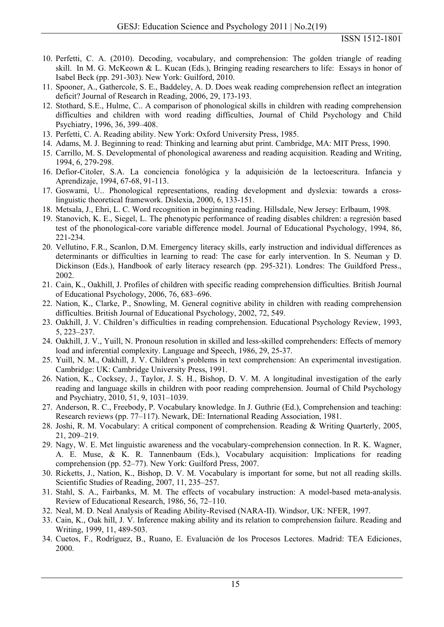- 10. Perfetti, C. A. (2010). Decoding, vocabulary, and comprehension: The golden triangle of reading skill. In M. G. McKeown & L. Kucan (Eds.), Bringing reading researchers to life: Essays in honor of Isabel Beck (pp. 291-303). New York: Guilford, 2010.
- 11. Spooner, A., Gathercole, S. E., Baddeley, A. D. Does weak reading comprehension reflect an integration deficit? Journal of Research in Reading, 2006, 29, 173-193.
- 12. Stothard, S.E., Hulme, C.. A comparison of phonological skills in children with reading comprehension difficulties and children with word reading difficulties, Journal of Child Psychology and Child Psychiatry, 1996, 36, 399–408.
- 13. Perfetti, C. A. Reading ability. New York: Oxford University Press, 1985.
- 14. Adams, M. J. Beginning to read: Thinking and learning abut print. Cambridge, MA: MIT Press, 1990.
- 15. Carrillo, M. S. Developmental of phonological awareness and reading acquisition. Reading and Writing, 1994, 6, 279-298.
- 16. Defior-Citoler, S.A. La conciencia fonológica y la adquisición de la lectoescritura. Infancia y Aprendizaje, 1994, 67-68, 91-113.
- 17. Goswami, U.. Phonological representations, reading development and dyslexia: towards a crosslinguistic theoretical framework. Dislexia, 2000, 6, 133-151.
- 18. Metsala, J., Ehri, L. C. Word recognition in beginning reading. Hillsdale, New Jersey: Erlbaum, 1998.
- 19. Stanovich, K. E., Siegel, L. The phenotypic performance of reading disables children: a regresión based test of the phonological-core variable difference model. Journal of Educational Psychology, 1994, 86, 221-234.
- 20. Vellutino, F.R., Scanlon, D.M. Emergency literacy skills, early instruction and individual differences as determinants or difficulties in learning to read: The case for early intervention. In S. Neuman y D. Dickinson (Eds.), Handbook of early literacy research (pp. 295-321). Londres: The Guildford Press., 2002.
- 21. Cain, K., Oakhill, J. Profiles of children with specific reading comprehension difficulties. British Journal of Educational Psychology, 2006, 76, 683–696.
- 22. Nation, K., Clarke, P., Snowling, M. General cognitive ability in children with reading comprehension difficulties. British Journal of Educational Psychology, 2002, 72, 549.
- 23. Oakhill, J. V. Children's difficulties in reading comprehension. Educational Psychology Review, 1993, 5, 223–237.
- 24. Oakhill, J. V., Yuill, N. Pronoun resolution in skilled and less-skilled comprehenders: Effects of memory load and inferential complexity. Language and Speech, 1986, 29, 25-37.
- 25. Yuill, N. M., Oakhill, J. V. Children's problems in text comprehension: An experimental investigation. Cambridge: UK: Cambridge University Press, 1991.
- 26. Nation, K., Cocksey, J., Taylor, J. S. H., Bishop, D. V. M. A longitudinal investigation of the early reading and language skills in children with poor reading comprehension. Journal of Child Psychology and Psychiatry, 2010, 51, 9, 1031–1039.
- 27. Anderson, R. C., Freebody, P. Vocabulary knowledge. In J. Guthrie (Ed.), Comprehension and teaching: Research reviews (pp. 77–117). Newark, DE: International Reading Association, 1981.
- 28. Joshi, R. M. Vocabulary: A critical component of comprehension. Reading & Writing Quarterly, 2005, 21, 209–219.
- 29. Nagy, W. E. Met linguistic awareness and the vocabulary-comprehension connection. In R. K. Wagner, A. E. Muse, & K. R. Tannenbaum (Eds.), Vocabulary acquisition: Implications for reading comprehension (pp. 52–77). New York: Guilford Press, 2007.
- 30. Ricketts, J., Nation, K., Bishop, D. V. M. Vocabulary is important for some, but not all reading skills. Scientific Studies of Reading, 2007, 11, 235–257.
- 31. Stahl, S. A., Fairbanks, M. M. The effects of vocabulary instruction: A model-based meta-analysis. Review of Educational Research, 1986, 56, 72–110.
- 32. Neal, M. D. Neal Analysis of Reading Ability-Revised (NARA-II). Windsor, UK: NFER, 1997.
- 33. Cain, K., Oak hill, J. V. Inference making ability and its relation to comprehension failure. Reading and Writing, 1999, 11, 489-503.
- 34. Cuetos, F., Rodríguez, B., Ruano, E. Evaluación de los Procesos Lectores. Madrid: TEA Ediciones, 2000.